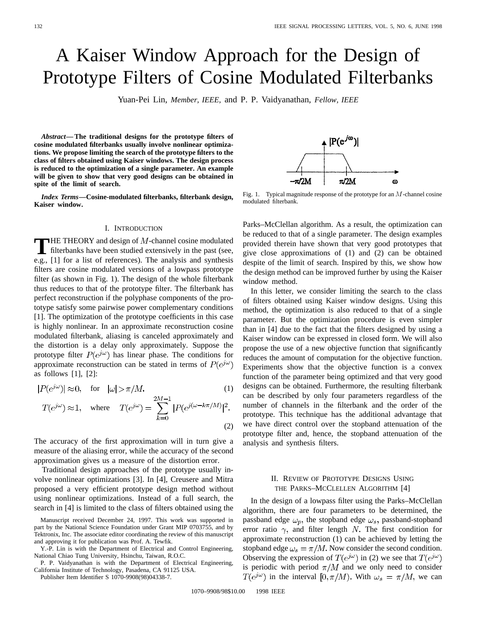# A Kaiser Window Approach for the Design of Prototype Filters of Cosine Modulated Filterbanks

Yuan-Pei Lin, *Member, IEEE,* and P. P. Vaidyanathan, *Fellow, IEEE*

*Abstract—***The traditional designs for the prototype filters of cosine modulated filterbanks usually involve nonlinear optimizations. We propose limiting the search of the prototype filters to the class of filters obtained using Kaiser windows. The design process is reduced to the optimization of a single parameter. An example will be given to show that very good designs can be obtained in spite of the limit of search.**

*Index Terms—***Cosine-modulated filterbanks, filterbank design, Kaiser window.**

## I. INTRODUCTION

**T**HE THEORY and design of  $M$ -channel cosine modulated filterbanks have been studied extensively in the past (see,  $\begin{bmatrix} 11 & 1 \end{bmatrix}$  for a list of extensional. The englishing and europhysics e.g., [1] for a list of references). The analysis and synthesis filters are cosine modulated versions of a lowpass prototype filter (as shown in Fig. 1). The design of the whole filterbank thus reduces to that of the prototype filter. The filterbank has perfect reconstruction if the polyphase components of the prototype satisfy some pairwise power complementary conditions [1]. The optimization of the prototype coefficients in this case is highly nonlinear. In an approximate reconstruction cosine modulated filterbank, aliasing is canceled approximately and the distortion is a delay only approximately. Suppose the prototype filter  $P(e^{j\omega})$  has linear phase. The conditions for approximate reconstruction can be stated in terms of  $P(e^{j\omega})$ as follows [1], [2]:

$$
|P(e^{j\omega})| \approx 0, \quad \text{for} \quad |\omega| > \pi/M. \tag{1}
$$

$$
T(e^{j\omega}) \approx 1, \quad \text{where} \quad T(e^{j\omega}) = \sum_{k=0}^{2M-1} |P(e^{j(\omega - k\pi/M)})|^2.
$$
\n<sup>(2)</sup>

The accuracy of the first approximation will in turn give a measure of the aliasing error, while the accuracy of the second approximation gives us a measure of the distortion error.

Traditional design approaches of the prototype usually involve nonlinear optimizations [3]. In [4], Creusere and Mitra proposed a very efficient prototype design method without using nonlinear optimizations. Instead of a full search, the search in [4] is limited to the class of filters obtained using the

Publisher Item Identifier S 1070-9908(98)04338-7.

 $|P(e^{j\omega})|$ -π/2M  $\pi/2M$ ω

Fig. 1. Typical magnitude response of the prototype for an  $M$ -channel cosine modulated filterbank.

Parks–McClellan algorithm. As a result, the optimization can be reduced to that of a single parameter. The design examples provided therein have shown that very good prototypes that give close approximations of (1) and (2) can be obtained despite of the limit of search. Inspired by this, we show how the design method can be improved further by using the Kaiser window method.

In this letter, we consider limiting the search to the class of filters obtained using Kaiser window designs. Using this method, the optimization is also reduced to that of a single parameter. But the optimization procedure is even simpler than in [4] due to the fact that the filters designed by using a Kaiser window can be expressed in closed form. We will also propose the use of a new objective function that significantly reduces the amount of computation for the objective function. Experiments show that the objective function is a convex function of the parameter being optimized and that very good designs can be obtained. Furthermore, the resulting filterbank can be described by only four parameters regardless of the number of channels in the filterbank and the order of the prototype. This technique has the additional advantage that we have direct control over the stopband attenuation of the prototype filter and, hence, the stopband attenuation of the analysis and synthesis filters.

## II. REVIEW OF PROTOTYPE DESIGNS USING THE PARKS–MCCLELLEN ALGORITHM [4]

In the design of a lowpass filter using the Parks–McClellan algorithm, there are four parameters to be determined, the passband edge  $\omega_p$ , the stopband edge  $\omega_s$ , passband-stopband error ratio  $\gamma$ , and filter length N. The first condition for approximate reconstruction (1) can be achieved by letting the stopband edge  $\omega_s = \pi/M$ . Now consider the second condition. Observing the expression of  $T(e^{j\omega})$  in (2) we see that  $T(e^{j\omega})$ is periodic with period  $\pi/M$  and we only need to consider  $T(e^{j\omega})$  in the interval  $[0, \pi/M)$ . With  $\omega_s = \pi/M$ , we can

Manuscript received December 24, 1997. This work was supported in part by the National Science Foundation under Grant MIP 0703755, and by Tektronix, Inc. The associate editor coordinating the review of this manuscript and approving it for publication was Prof. A. Tewfik.

Y.-P. Lin is with the Department of Electrical and Control Engineering, National Chiao Tung University, Hsinchu, Taiwan, R.O.C.

P. P. Vaidyanathan is with the Department of Electrical Engineering, California Institute of Technology, Pasadena, CA 91125 USA.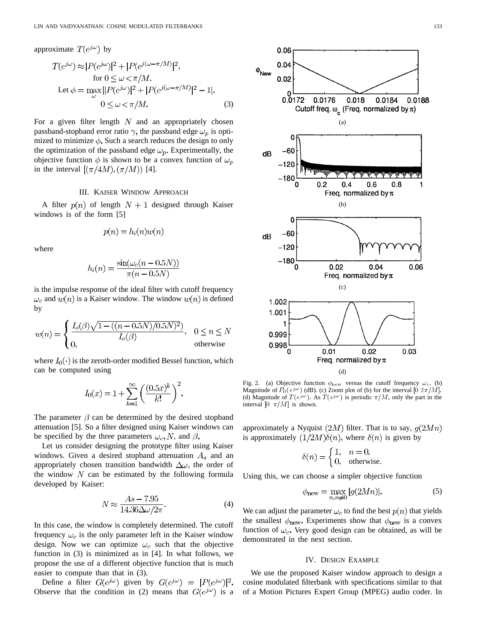approximate  $T(e^{j\omega})$  by  $T(e^{j\omega}) \approx |P(e^{j\omega})|^2 + |P(e^{j(\omega - \pi/M)})|^2,$ for Let (3)

For a given filter length  $N$  and an appropriately chosen passband-stopband error ratio  $\gamma$ , the passband edge  $\omega_p$  is optimized to minimize  $\phi$ . Such a search reduces the design to only the optimization of the passband edge  $\omega_p$ . Experimentally, the objective function  $\phi$  is shown to be a convex function of  $\omega_p$ in the interval  $[(\pi/4M), (\pi/M))$  [4].

## III. KAISER WINDOW APPROACH

A filter  $p(n)$  of length  $N+1$  designed through Kaiser windows is of the form [5]

$$
p(n) = h_i(n)w(n)
$$

where

$$
h_i(n) = \frac{\sin(\omega_c(n - 0.5N))}{\pi(n - 0.5N)}
$$

is the impulse response of the ideal filter with cutoff frequency  $\omega_c$  and  $w(n)$  is a Kaiser window. The window  $w(n)$  is defined by

$$
w(n) = \begin{cases} \frac{I_o(\beta)\sqrt{1 - ((n - 0.5N)/0.5N)^2})}{I_o(\beta)}, & 0 \le n \le N \\ 0, & \text{otherwise} \end{cases}
$$

where  $I_0(\cdot)$  is the zeroth-order modified Bessel function, which can be computed using

$$
I_0(x) = 1 + \sum_{k=1}^{\infty} \left( \frac{(0.5x)^k}{k!} \right)^2.
$$

The parameter  $\beta$  can be determined by the desired stopband attenuation [5]. So a filter designed using Kaiser windows can be specified by the three parameters  $\omega_c$ , N, and  $\beta$ .

Let us consider designing the prototype filter using Kaiser windows. Given a desired stopband attenuation  $A_s$  and an appropriately chosen transition bandwidth  $\Delta\omega$ , the order of the window  $N$  can be estimated by the following formula developed by Kaiser:

$$
N \approx \frac{As - 7.95}{14.36\Delta\omega/2\pi}.\tag{4}
$$

In this case, the window is completely determined. The cutoff frequency  $\omega_c$  is the only parameter left in the Kaiser window design. Now we can optimize  $\omega_c$  such that the objective function in (3) is minimized as in [4]. In what follows, we propose the use of a different objective function that is much easier to compute than that in (3).

Define a filter  $G(e^{j\omega})$  given by  $G(e^{j\omega}) = |P(e^{j\omega})|^2$ . Observe that the condition in (2) means that  $G(e^{j\omega})$  is a





Fig. 2. (a) Objective function  $\phi_{\text{new}}$  versus the cutoff frequency  $\omega_c$ . (b) Magnitude of  $P_0(e^{j\omega})$  (dB). (c) Zoom plot of (b) for the interval  $[0 \ 2\pi/M]$ . (d) Magnitude of  $T(e^{j\omega})$ . As  $T(e^{j\omega})$  is periodic  $\pi/M$ , only the part in the interval  $[0 \pi/M]$  is shown.

approximately a Nyquist  $(2M)$  filter. That is to say,  $g(2Mn)$ is approximately  $(1/2M)\delta(n)$ , where  $\delta(n)$  is given by

$$
\delta(n) = \begin{cases} 1, & n = 0, \\ 0, & \text{otherwise.} \end{cases}
$$

Using this, we can choose a simpler objective function

$$
\phi_{\text{new}} = \max_{n,n \neq 0} |g(2Mn)|. \tag{5}
$$

We can adjust the parameter  $\omega_c$  to find the best  $p(n)$  that yields the smallest  $\phi_{\text{new}}$ . Experiments show that  $\phi_{\text{new}}$  is a convex function of  $\omega_c$ . Very good design can be obtained, as will be demonstrated in the next section.

## IV. DESIGN EXAMPLE

We use the proposed Kaiser window approach to design a cosine modulated filterbank with specifications similar to that of a Motion Pictures Expert Group (MPEG) audio coder. In